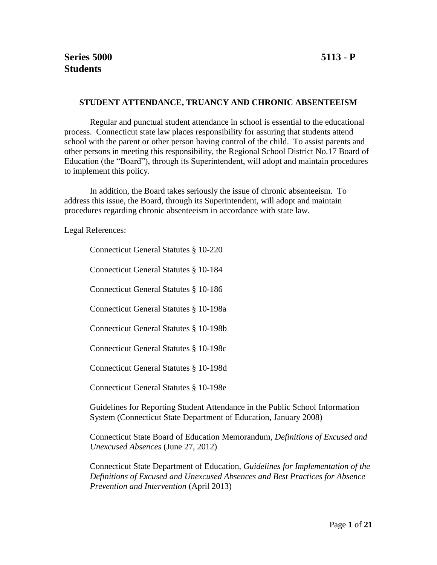#### **STUDENT ATTENDANCE, TRUANCY AND CHRONIC ABSENTEEISM**

Regular and punctual student attendance in school is essential to the educational process. Connecticut state law places responsibility for assuring that students attend school with the parent or other person having control of the child. To assist parents and other persons in meeting this responsibility, the Regional School District No.17 Board of Education (the "Board"), through its Superintendent, will adopt and maintain procedures to implement this policy.

In addition, the Board takes seriously the issue of chronic absenteeism. To address this issue, the Board, through its Superintendent, will adopt and maintain procedures regarding chronic absenteeism in accordance with state law.

Legal References:

Connecticut General Statutes § 10-220

Connecticut General Statutes § 10-184

Connecticut General Statutes § 10-186

Connecticut General Statutes § 10-198a

Connecticut General Statutes § 10-198b

Connecticut General Statutes § 10-198c

Connecticut General Statutes § 10-198d

Connecticut General Statutes § 10-198e

Guidelines for Reporting Student Attendance in the Public School Information System (Connecticut State Department of Education, January 2008)

Connecticut State Board of Education Memorandum, *Definitions of Excused and Unexcused Absences* (June 27, 2012)

Connecticut State Department of Education, *Guidelines for Implementation of the Definitions of Excused and Unexcused Absences and Best Practices for Absence Prevention and Intervention* (April 2013)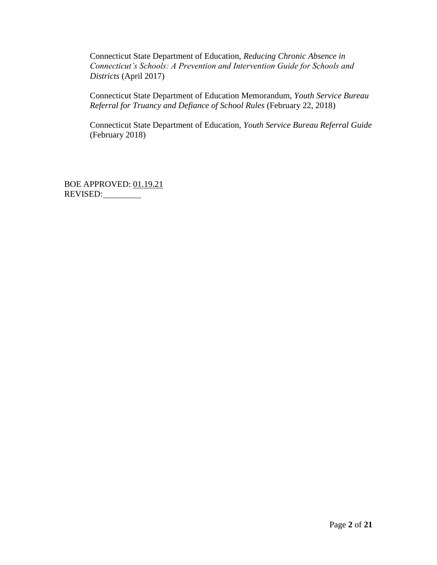Connecticut State Department of Education, *Reducing Chronic Absence in Connecticut's Schools: A Prevention and Intervention Guide for Schools and Districts* (April 2017)

Connecticut State Department of Education Memorandum, *Youth Service Bureau Referral for Truancy and Defiance of School Rules* (February 22, 2018)

Connecticut State Department of Education, *Youth Service Bureau Referral Guide*  (February 2018)

BOE APPROVED: 01.19.21 REVISED: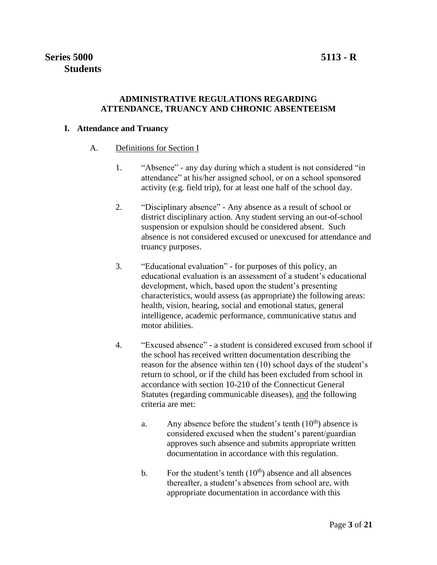## **ADMINISTRATIVE REGULATIONS REGARDING ATTENDANCE, TRUANCY AND CHRONIC ABSENTEEISM**

## **I. Attendance and Truancy**

- A. Definitions for Section I
	- 1. "Absence" any day during which a student is not considered "in attendance" at his/her assigned school, or on a school sponsored activity (e.g. field trip), for at least one half of the school day.
	- 2. "Disciplinary absence" Any absence as a result of school or district disciplinary action. Any student serving an out-of-school suspension or expulsion should be considered absent. Such absence is not considered excused or unexcused for attendance and truancy purposes.
	- 3. "Educational evaluation" for purposes of this policy, an educational evaluation is an assessment of a student's educational development, which, based upon the student's presenting characteristics, would assess (as appropriate) the following areas: health, vision, hearing, social and emotional status, general intelligence, academic performance, communicative status and motor abilities.
	- 4. "Excused absence" a student is considered excused from school if the school has received written documentation describing the reason for the absence within ten (10) school days of the student's return to school, or if the child has been excluded from school in accordance with section 10-210 of the Connecticut General Statutes (regarding communicable diseases), and the following criteria are met:
		- a. Any absence before the student's tenth  $(10<sup>th</sup>)$  absence is considered excused when the student's parent/guardian approves such absence and submits appropriate written documentation in accordance with this regulation.
		- b. For the student's tenth  $(10<sup>th</sup>)$  absence and all absences thereafter, a student's absences from school are, with appropriate documentation in accordance with this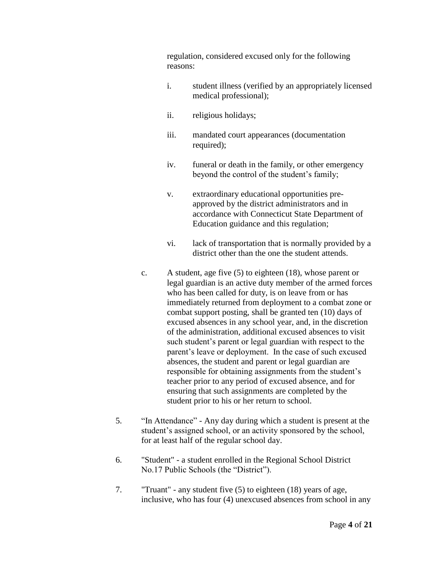regulation, considered excused only for the following reasons:

- i. student illness (verified by an appropriately licensed medical professional);
- ii. religious holidays;
- iii. mandated court appearances (documentation required);
- iv. funeral or death in the family, or other emergency beyond the control of the student's family;
- v. extraordinary educational opportunities preapproved by the district administrators and in accordance with Connecticut State Department of Education guidance and this regulation;
- vi. lack of transportation that is normally provided by a district other than the one the student attends.
- c. A student, age five (5) to eighteen (18), whose parent or legal guardian is an active duty member of the armed forces who has been called for duty, is on leave from or has immediately returned from deployment to a combat zone or combat support posting, shall be granted ten (10) days of excused absences in any school year, and, in the discretion of the administration, additional excused absences to visit such student's parent or legal guardian with respect to the parent's leave or deployment. In the case of such excused absences, the student and parent or legal guardian are responsible for obtaining assignments from the student's teacher prior to any period of excused absence, and for ensuring that such assignments are completed by the student prior to his or her return to school.
- 5. "In Attendance" Any day during which a student is present at the student's assigned school, or an activity sponsored by the school, for at least half of the regular school day.
- 6. "Student" a student enrolled in the Regional School District No.17 Public Schools (the "District").
- 7. "Truant" any student five (5) to eighteen (18) years of age, inclusive, who has four (4) unexcused absences from school in any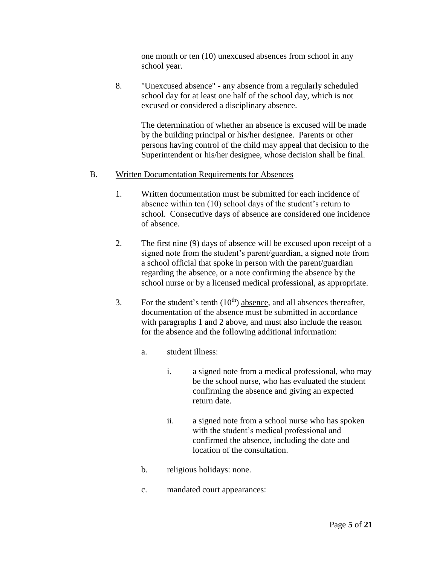one month or ten (10) unexcused absences from school in any school year.

8. "Unexcused absence" - any absence from a regularly scheduled school day for at least one half of the school day, which is not excused or considered a disciplinary absence.

> The determination of whether an absence is excused will be made by the building principal or his/her designee. Parents or other persons having control of the child may appeal that decision to the Superintendent or his/her designee, whose decision shall be final.

#### B. Written Documentation Requirements for Absences

- 1. Written documentation must be submitted for each incidence of absence within ten (10) school days of the student's return to school. Consecutive days of absence are considered one incidence of absence.
- 2. The first nine (9) days of absence will be excused upon receipt of a signed note from the student's parent/guardian, a signed note from a school official that spoke in person with the parent/guardian regarding the absence, or a note confirming the absence by the school nurse or by a licensed medical professional, as appropriate.
- 3. For the student's tenth  $(10<sup>th</sup>)$  absence, and all absences thereafter, documentation of the absence must be submitted in accordance with paragraphs 1 and 2 above, and must also include the reason for the absence and the following additional information:
	- a. student illness:
		- i. a signed note from a medical professional, who may be the school nurse, who has evaluated the student confirming the absence and giving an expected return date.
		- ii. a signed note from a school nurse who has spoken with the student's medical professional and confirmed the absence, including the date and location of the consultation.
	- b. religious holidays: none.
	- c. mandated court appearances: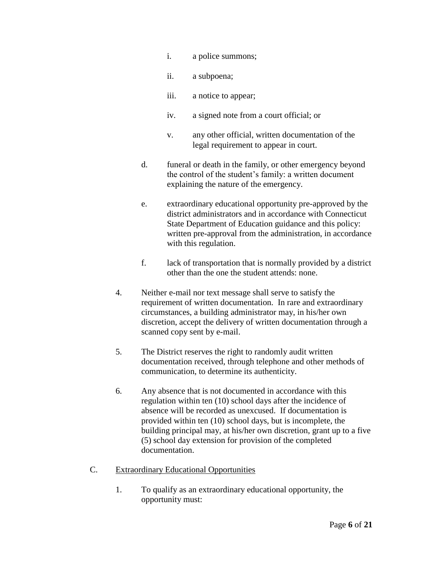- i. a police summons;
- ii. a subpoena;
- iii. a notice to appear;
- iv. a signed note from a court official; or
- v. any other official, written documentation of the legal requirement to appear in court.
- d. funeral or death in the family, or other emergency beyond the control of the student's family: a written document explaining the nature of the emergency.
- e. extraordinary educational opportunity pre-approved by the district administrators and in accordance with Connecticut State Department of Education guidance and this policy: written pre-approval from the administration, in accordance with this regulation.
- f. lack of transportation that is normally provided by a district other than the one the student attends: none.
- 4. Neither e-mail nor text message shall serve to satisfy the requirement of written documentation. In rare and extraordinary circumstances, a building administrator may, in his/her own discretion, accept the delivery of written documentation through a scanned copy sent by e-mail.
- 5. The District reserves the right to randomly audit written documentation received, through telephone and other methods of communication, to determine its authenticity.
- 6. Any absence that is not documented in accordance with this regulation within ten (10) school days after the incidence of absence will be recorded as unexcused. If documentation is provided within ten (10) school days, but is incomplete, the building principal may, at his/her own discretion, grant up to a five (5) school day extension for provision of the completed documentation.
- C. Extraordinary Educational Opportunities
	- 1. To qualify as an extraordinary educational opportunity, the opportunity must: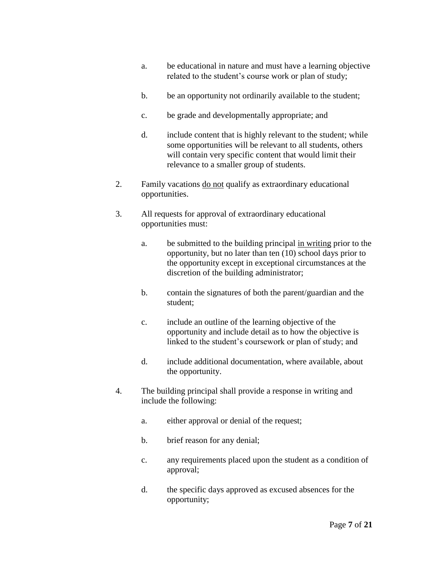- a. be educational in nature and must have a learning objective related to the student's course work or plan of study;
- b. be an opportunity not ordinarily available to the student;
- c. be grade and developmentally appropriate; and
- d. include content that is highly relevant to the student; while some opportunities will be relevant to all students, others will contain very specific content that would limit their relevance to a smaller group of students.
- 2. Family vacations do not qualify as extraordinary educational opportunities.
- 3. All requests for approval of extraordinary educational opportunities must:
	- a. be submitted to the building principal in writing prior to the opportunity, but no later than ten (10) school days prior to the opportunity except in exceptional circumstances at the discretion of the building administrator;
	- b. contain the signatures of both the parent/guardian and the student;
	- c. include an outline of the learning objective of the opportunity and include detail as to how the objective is linked to the student's coursework or plan of study; and
	- d. include additional documentation, where available, about the opportunity.
- 4. The building principal shall provide a response in writing and include the following:
	- a. either approval or denial of the request;
	- b. brief reason for any denial;
	- c. any requirements placed upon the student as a condition of approval;
	- d. the specific days approved as excused absences for the opportunity;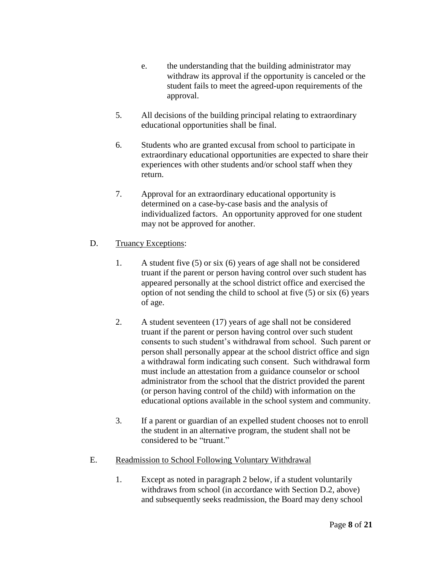- e. the understanding that the building administrator may withdraw its approval if the opportunity is canceled or the student fails to meet the agreed-upon requirements of the approval.
- 5. All decisions of the building principal relating to extraordinary educational opportunities shall be final.
- 6. Students who are granted excusal from school to participate in extraordinary educational opportunities are expected to share their experiences with other students and/or school staff when they return.
- 7. Approval for an extraordinary educational opportunity is determined on a case-by-case basis and the analysis of individualized factors. An opportunity approved for one student may not be approved for another.
- D. Truancy Exceptions:
	- 1. A student five (5) or six (6) years of age shall not be considered truant if the parent or person having control over such student has appeared personally at the school district office and exercised the option of not sending the child to school at five (5) or six (6) years of age.
	- 2. A student seventeen (17) years of age shall not be considered truant if the parent or person having control over such student consents to such student's withdrawal from school. Such parent or person shall personally appear at the school district office and sign a withdrawal form indicating such consent. Such withdrawal form must include an attestation from a guidance counselor or school administrator from the school that the district provided the parent (or person having control of the child) with information on the educational options available in the school system and community.
	- 3. If a parent or guardian of an expelled student chooses not to enroll the student in an alternative program, the student shall not be considered to be "truant."
- E. Readmission to School Following Voluntary Withdrawal
	- 1. Except as noted in paragraph 2 below, if a student voluntarily withdraws from school (in accordance with Section D.2, above) and subsequently seeks readmission, the Board may deny school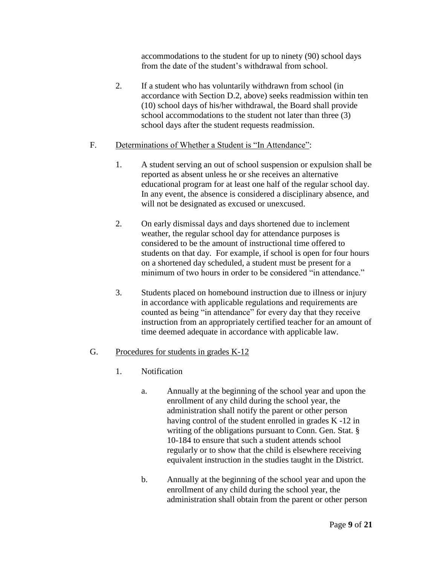accommodations to the student for up to ninety (90) school days from the date of the student's withdrawal from school.

2. If a student who has voluntarily withdrawn from school (in accordance with Section D.2, above) seeks readmission within ten (10) school days of his/her withdrawal, the Board shall provide school accommodations to the student not later than three (3) school days after the student requests readmission.

## F. Determinations of Whether a Student is "In Attendance":

- 1. A student serving an out of school suspension or expulsion shall be reported as absent unless he or she receives an alternative educational program for at least one half of the regular school day. In any event, the absence is considered a disciplinary absence, and will not be designated as excused or unexcused.
- 2. On early dismissal days and days shortened due to inclement weather, the regular school day for attendance purposes is considered to be the amount of instructional time offered to students on that day. For example, if school is open for four hours on a shortened day scheduled, a student must be present for a minimum of two hours in order to be considered "in attendance"
- 3. Students placed on homebound instruction due to illness or injury in accordance with applicable regulations and requirements are counted as being "in attendance" for every day that they receive instruction from an appropriately certified teacher for an amount of time deemed adequate in accordance with applicable law.

## G. Procedures for students in grades K-12

- 1. Notification
	- a. Annually at the beginning of the school year and upon the enrollment of any child during the school year, the administration shall notify the parent or other person having control of the student enrolled in grades K -12 in writing of the obligations pursuant to Conn. Gen. Stat. § 10-184 to ensure that such a student attends school regularly or to show that the child is elsewhere receiving equivalent instruction in the studies taught in the District.
	- b. Annually at the beginning of the school year and upon the enrollment of any child during the school year, the administration shall obtain from the parent or other person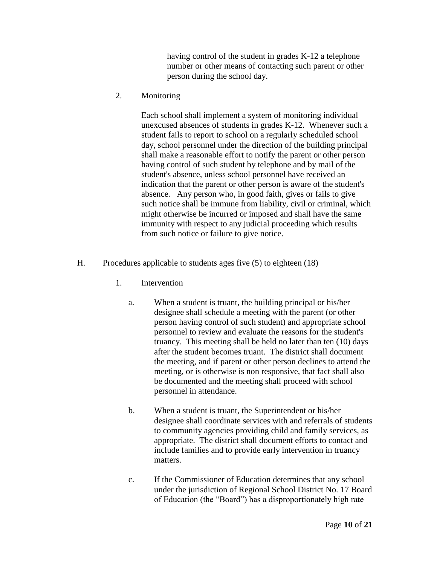having control of the student in grades K-12 a telephone number or other means of contacting such parent or other person during the school day.

2. Monitoring

Each school shall implement a system of monitoring individual unexcused absences of students in grades K-12. Whenever such a student fails to report to school on a regularly scheduled school day, school personnel under the direction of the building principal shall make a reasonable effort to notify the parent or other person having control of such student by telephone and by mail of the student's absence, unless school personnel have received an indication that the parent or other person is aware of the student's absence. Any person who, in good faith, gives or fails to give such notice shall be immune from liability, civil or criminal, which might otherwise be incurred or imposed and shall have the same immunity with respect to any judicial proceeding which results from such notice or failure to give notice.

## H. Procedures applicable to students ages five (5) to eighteen (18)

- 1. Intervention
	- a. When a student is truant, the building principal or his/her designee shall schedule a meeting with the parent (or other person having control of such student) and appropriate school personnel to review and evaluate the reasons for the student's truancy. This meeting shall be held no later than ten (10) days after the student becomes truant. The district shall document the meeting, and if parent or other person declines to attend the meeting, or is otherwise is non responsive, that fact shall also be documented and the meeting shall proceed with school personnel in attendance.
	- b. When a student is truant, the Superintendent or his/her designee shall coordinate services with and referrals of students to community agencies providing child and family services, as appropriate. The district shall document efforts to contact and include families and to provide early intervention in truancy matters.
	- c. If the Commissioner of Education determines that any school under the jurisdiction of Regional School District No. 17 Board of Education (the "Board") has a disproportionately high rate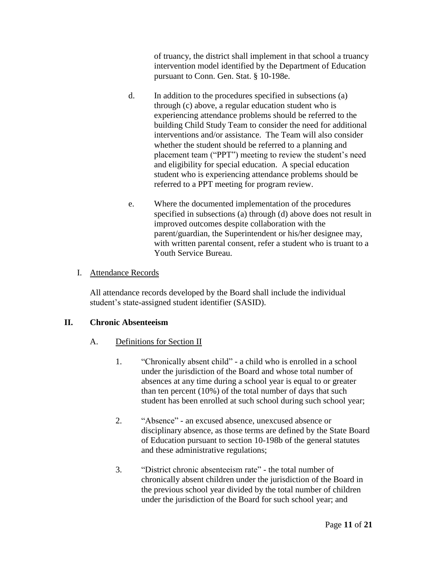of truancy, the district shall implement in that school a truancy intervention model identified by the Department of Education pursuant to Conn. Gen. Stat. § 10-198e.

- d. In addition to the procedures specified in subsections (a) through (c) above, a regular education student who is experiencing attendance problems should be referred to the building Child Study Team to consider the need for additional interventions and/or assistance. The Team will also consider whether the student should be referred to a planning and placement team ("PPT") meeting to review the student's need and eligibility for special education. A special education student who is experiencing attendance problems should be referred to a PPT meeting for program review.
- e. Where the documented implementation of the procedures specified in subsections (a) through (d) above does not result in improved outcomes despite collaboration with the parent/guardian, the Superintendent or his/her designee may, with written parental consent, refer a student who is truant to a Youth Service Bureau.

## I. Attendance Records

All attendance records developed by the Board shall include the individual student's state-assigned student identifier (SASID).

## **II. Chronic Absenteeism**

- A. Definitions for Section II
	- 1. "Chronically absent child" a child who is enrolled in a school under the jurisdiction of the Board and whose total number of absences at any time during a school year is equal to or greater than ten percent (10%) of the total number of days that such student has been enrolled at such school during such school year;
	- 2. "Absence" an excused absence, unexcused absence or disciplinary absence, as those terms are defined by the State Board of Education pursuant to section 10-198b of the general statutes and these administrative regulations;
	- 3. "District chronic absenteeism rate" the total number of chronically absent children under the jurisdiction of the Board in the previous school year divided by the total number of children under the jurisdiction of the Board for such school year; and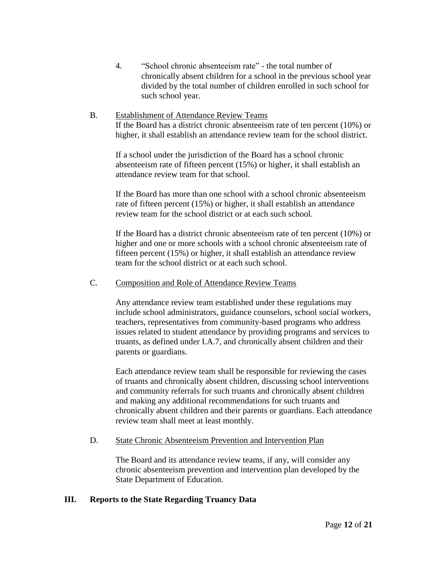- 4. "School chronic absenteeism rate" the total number of chronically absent children for a school in the previous school year divided by the total number of children enrolled in such school for such school year.
- B. Establishment of Attendance Review Teams If the Board has a district chronic absenteeism rate of ten percent (10%) or higher, it shall establish an attendance review team for the school district.

If a school under the jurisdiction of the Board has a school chronic absenteeism rate of fifteen percent (15%) or higher, it shall establish an attendance review team for that school.

If the Board has more than one school with a school chronic absenteeism rate of fifteen percent (15%) or higher, it shall establish an attendance review team for the school district or at each such school.

If the Board has a district chronic absenteeism rate of ten percent (10%) or higher and one or more schools with a school chronic absenteeism rate of fifteen percent (15%) or higher, it shall establish an attendance review team for the school district or at each such school.

## C. Composition and Role of Attendance Review Teams

Any attendance review team established under these regulations may include school administrators, guidance counselors, school social workers, teachers, representatives from community-based programs who address issues related to student attendance by providing programs and services to truants, as defined under I.A.7, and chronically absent children and their parents or guardians.

Each attendance review team shall be responsible for reviewing the cases of truants and chronically absent children, discussing school interventions and community referrals for such truants and chronically absent children and making any additional recommendations for such truants and chronically absent children and their parents or guardians. Each attendance review team shall meet at least monthly.

#### D. State Chronic Absenteeism Prevention and Intervention Plan

The Board and its attendance review teams, if any, will consider any chronic absenteeism prevention and intervention plan developed by the State Department of Education.

#### **III. Reports to the State Regarding Truancy Data**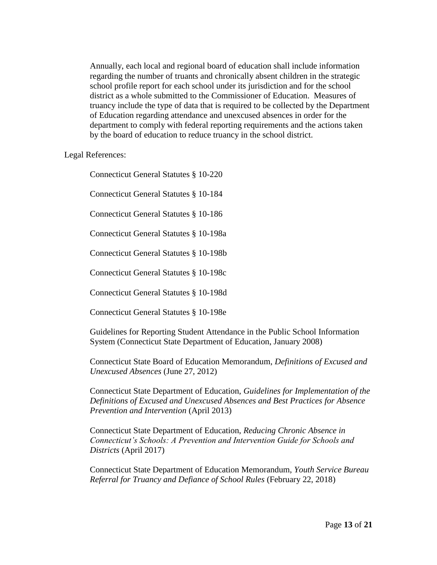Annually, each local and regional board of education shall include information regarding the number of truants and chronically absent children in the strategic school profile report for each school under its jurisdiction and for the school district as a whole submitted to the Commissioner of Education. Measures of truancy include the type of data that is required to be collected by the Department of Education regarding attendance and unexcused absences in order for the department to comply with federal reporting requirements and the actions taken by the board of education to reduce truancy in the school district.

#### Legal References:

Connecticut General Statutes § 10-220

Connecticut General Statutes § 10-184

Connecticut General Statutes § 10-186

Connecticut General Statutes § 10-198a

Connecticut General Statutes § 10-198b

Connecticut General Statutes § 10-198c

Connecticut General Statutes § 10-198d

Connecticut General Statutes § 10-198e

Guidelines for Reporting Student Attendance in the Public School Information System (Connecticut State Department of Education, January 2008)

Connecticut State Board of Education Memorandum, *Definitions of Excused and Unexcused Absences* (June 27, 2012)

Connecticut State Department of Education, *Guidelines for Implementation of the Definitions of Excused and Unexcused Absences and Best Practices for Absence Prevention and Intervention* (April 2013)

Connecticut State Department of Education, *Reducing Chronic Absence in Connecticut's Schools: A Prevention and Intervention Guide for Schools and Districts* (April 2017)

Connecticut State Department of Education Memorandum, *Youth Service Bureau Referral for Truancy and Defiance of School Rules* (February 22, 2018)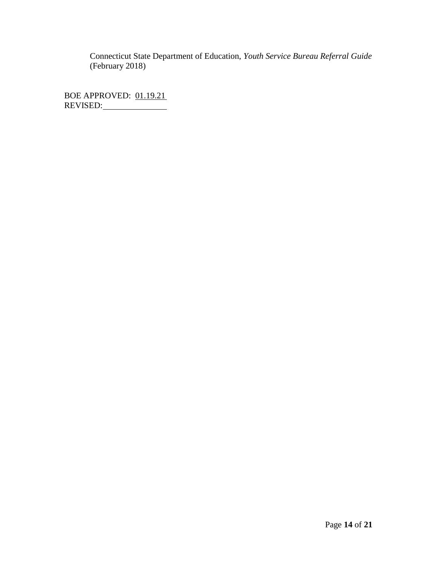Connecticut State Department of Education, *Youth Service Bureau Referral Guide*  (February 2018)

BOE APPROVED: 01.19.21 REVISED: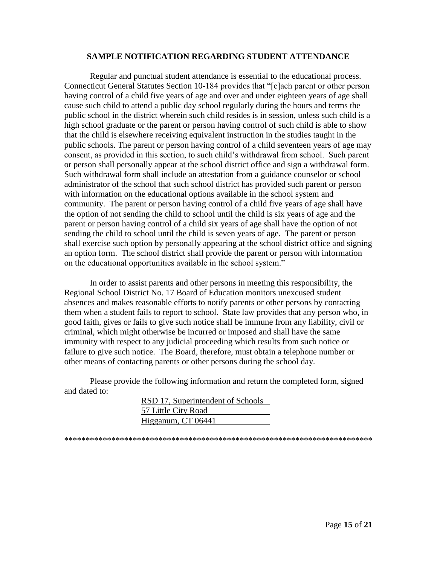#### **SAMPLE NOTIFICATION REGARDING STUDENT ATTENDANCE**

Regular and punctual student attendance is essential to the educational process. Connecticut General Statutes Section 10-184 provides that "[e]ach parent or other person having control of a child five years of age and over and under eighteen years of age shall cause such child to attend a public day school regularly during the hours and terms the public school in the district wherein such child resides is in session, unless such child is a high school graduate or the parent or person having control of such child is able to show that the child is elsewhere receiving equivalent instruction in the studies taught in the public schools. The parent or person having control of a child seventeen years of age may consent, as provided in this section, to such child's withdrawal from school. Such parent or person shall personally appear at the school district office and sign a withdrawal form. Such withdrawal form shall include an attestation from a guidance counselor or school administrator of the school that such school district has provided such parent or person with information on the educational options available in the school system and community. The parent or person having control of a child five years of age shall have the option of not sending the child to school until the child is six years of age and the parent or person having control of a child six years of age shall have the option of not sending the child to school until the child is seven years of age. The parent or person shall exercise such option by personally appearing at the school district office and signing an option form. The school district shall provide the parent or person with information on the educational opportunities available in the school system."

In order to assist parents and other persons in meeting this responsibility, the Regional School District No. 17 Board of Education monitors unexcused student absences and makes reasonable efforts to notify parents or other persons by contacting them when a student fails to report to school. State law provides that any person who, in good faith, gives or fails to give such notice shall be immune from any liability, civil or criminal, which might otherwise be incurred or imposed and shall have the same immunity with respect to any judicial proceeding which results from such notice or failure to give such notice. The Board, therefore, must obtain a telephone number or other means of contacting parents or other persons during the school day.

Please provide the following information and return the completed form, signed and dated to:

> RSD 17, Superintendent of Schools 57 Little City Road Higganum, CT 06441

\*\*\*\*\*\*\*\*\*\*\*\*\*\*\*\*\*\*\*\*\*\*\*\*\*\*\*\*\*\*\*\*\*\*\*\*\*\*\*\*\*\*\*\*\*\*\*\*\*\*\*\*\*\*\*\*\*\*\*\*\*\*\*\*\*\*\*\*\*\*\*\*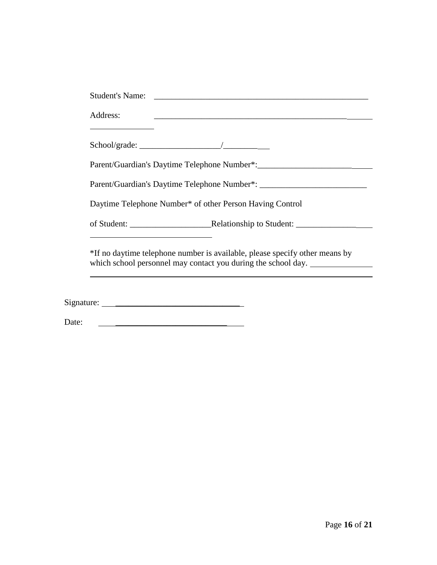|                                                                                                                       | <u> 1989 - Johann Harry Harry Harry Harry Harry Harry Harry Harry Harry Harry Harry Harry Harry Harry Harry Harry H</u> |
|-----------------------------------------------------------------------------------------------------------------------|-------------------------------------------------------------------------------------------------------------------------|
|                                                                                                                       |                                                                                                                         |
|                                                                                                                       |                                                                                                                         |
|                                                                                                                       | Parent/Guardian's Daytime Telephone Number*: ___________________________________                                        |
|                                                                                                                       | Daytime Telephone Number* of other Person Having Control                                                                |
| <u> 1989 - Johann Barbara, martxa alemaniar amerikan basar dan basar dan basar dan basar dalam basar dan basar da</u> |                                                                                                                         |
|                                                                                                                       |                                                                                                                         |

Date: \_\_\_\_\_\_\_\_\_\_\_\_\_\_\_\_\_\_\_\_\_\_\_\_\_\_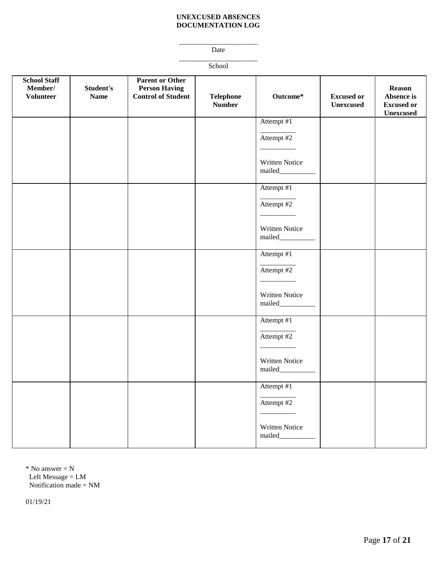#### **UNEXCUSED ABSENCES DOCUMENTATION LOG**

\_\_\_\_\_\_\_\_\_\_\_\_\_\_\_\_\_\_\_\_\_\_ Date

\_\_\_\_\_\_\_\_\_\_\_\_\_\_\_\_\_\_\_\_\_\_ School

| <b>School Staff</b><br>Member/<br><b>Volunteer</b> | Student's<br><b>Name</b> | <b>Parent or Other</b><br><b>Person Having</b><br><b>Control of Student</b> | <b>Telephone</b><br><b>Number</b> | Outcome*                        | <b>Excused or</b><br><b>Unexcused</b> | <b>Reason</b><br>Absence is<br><b>Excused or</b><br>Unexcused |
|----------------------------------------------------|--------------------------|-----------------------------------------------------------------------------|-----------------------------------|---------------------------------|---------------------------------------|---------------------------------------------------------------|
|                                                    |                          |                                                                             |                                   | Attempt #1                      |                                       |                                                               |
|                                                    |                          |                                                                             |                                   | Attempt #2                      |                                       |                                                               |
|                                                    |                          |                                                                             |                                   | Written Notice<br>mailed_       |                                       |                                                               |
|                                                    |                          |                                                                             |                                   | Attempt #1                      |                                       |                                                               |
|                                                    |                          |                                                                             |                                   | Attempt #2                      |                                       |                                                               |
|                                                    |                          |                                                                             |                                   | Written Notice                  |                                       |                                                               |
|                                                    |                          |                                                                             |                                   | Attempt #1                      |                                       |                                                               |
|                                                    |                          |                                                                             |                                   | Attempt #2                      |                                       |                                                               |
|                                                    |                          |                                                                             |                                   | Written Notice<br>mailed______  |                                       |                                                               |
|                                                    |                          |                                                                             |                                   | Attempt #1                      |                                       |                                                               |
|                                                    |                          |                                                                             |                                   | Attempt #2                      |                                       |                                                               |
|                                                    |                          |                                                                             |                                   | Written Notice<br>mailed_______ |                                       |                                                               |
|                                                    |                          |                                                                             |                                   | Attempt #1                      |                                       |                                                               |
|                                                    |                          |                                                                             |                                   | Attempt #2                      |                                       |                                                               |
|                                                    |                          |                                                                             |                                   | Written Notice<br>mailed_______ |                                       |                                                               |

 $*$  No answer = N Left Message = LM Notification made = NM

01/19/21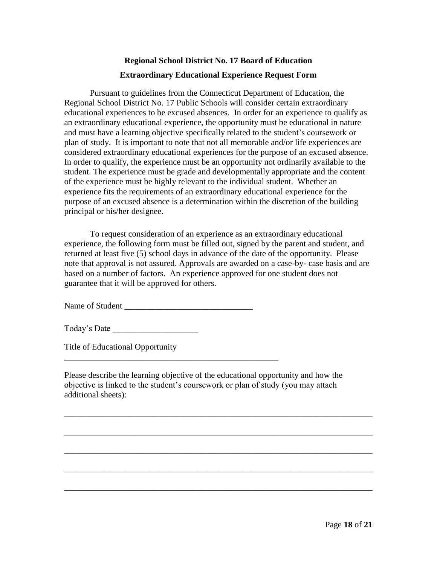## **Regional School District No. 17 Board of Education Extraordinary Educational Experience Request Form**

Pursuant to guidelines from the Connecticut Department of Education, the Regional School District No. 17 Public Schools will consider certain extraordinary educational experiences to be excused absences. In order for an experience to qualify as an extraordinary educational experience, the opportunity must be educational in nature and must have a learning objective specifically related to the student's coursework or plan of study. It is important to note that not all memorable and/or life experiences are considered extraordinary educational experiences for the purpose of an excused absence. In order to qualify, the experience must be an opportunity not ordinarily available to the student. The experience must be grade and developmentally appropriate and the content of the experience must be highly relevant to the individual student. Whether an experience fits the requirements of an extraordinary educational experience for the purpose of an excused absence is a determination within the discretion of the building principal or his/her designee.

To request consideration of an experience as an extraordinary educational experience, the following form must be filled out, signed by the parent and student, and returned at least five (5) school days in advance of the date of the opportunity. Please note that approval is not assured. Approvals are awarded on a case-by- case basis and are based on a number of factors. An experience approved for one student does not guarantee that it will be approved for others.

Name of Student \_\_\_\_\_\_\_\_\_\_\_\_\_\_\_\_\_\_\_\_\_\_\_\_\_\_\_\_\_\_

\_\_\_\_\_\_\_\_\_\_\_\_\_\_\_\_\_\_\_\_\_\_\_\_\_\_\_\_\_\_\_\_\_\_\_\_\_\_\_\_\_\_\_\_\_\_\_\_\_\_

Today's Date

Title of Educational Opportunity

Please describe the learning objective of the educational opportunity and how the objective is linked to the student's coursework or plan of study (you may attach additional sheets):

\_\_\_\_\_\_\_\_\_\_\_\_\_\_\_\_\_\_\_\_\_\_\_\_\_\_\_\_\_\_\_\_\_\_\_\_\_\_\_\_\_\_\_\_\_\_\_\_\_\_\_\_\_\_\_\_\_\_\_\_\_\_\_\_\_\_\_\_\_\_\_\_

\_\_\_\_\_\_\_\_\_\_\_\_\_\_\_\_\_\_\_\_\_\_\_\_\_\_\_\_\_\_\_\_\_\_\_\_\_\_\_\_\_\_\_\_\_\_\_\_\_\_\_\_\_\_\_\_\_\_\_\_\_\_\_\_\_\_\_\_\_\_\_\_

\_\_\_\_\_\_\_\_\_\_\_\_\_\_\_\_\_\_\_\_\_\_\_\_\_\_\_\_\_\_\_\_\_\_\_\_\_\_\_\_\_\_\_\_\_\_\_\_\_\_\_\_\_\_\_\_\_\_\_\_\_\_\_\_\_\_\_\_\_\_\_\_

\_\_\_\_\_\_\_\_\_\_\_\_\_\_\_\_\_\_\_\_\_\_\_\_\_\_\_\_\_\_\_\_\_\_\_\_\_\_\_\_\_\_\_\_\_\_\_\_\_\_\_\_\_\_\_\_\_\_\_\_\_\_\_\_\_\_\_\_\_\_\_\_

\_\_\_\_\_\_\_\_\_\_\_\_\_\_\_\_\_\_\_\_\_\_\_\_\_\_\_\_\_\_\_\_\_\_\_\_\_\_\_\_\_\_\_\_\_\_\_\_\_\_\_\_\_\_\_\_\_\_\_\_\_\_\_\_\_\_\_\_\_\_\_\_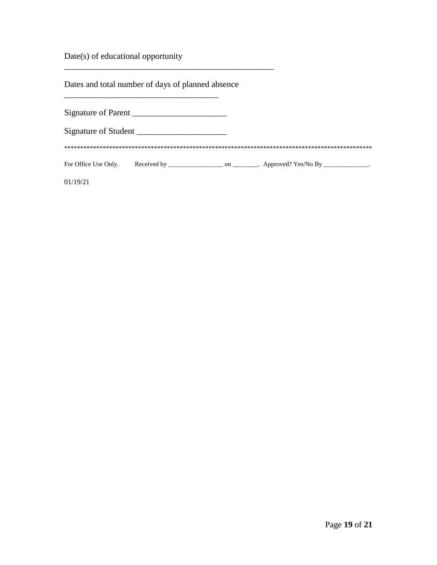Date(s) of educational opportunity

Dates and total number of days of planned absence

\_\_\_\_\_\_\_\_\_\_\_\_\_\_\_\_\_\_\_\_\_\_\_\_\_\_\_\_\_\_\_\_\_\_\_\_

\_\_\_\_\_\_\_\_\_\_\_\_\_\_\_\_\_\_\_\_\_\_\_\_\_\_\_\_\_\_\_\_\_\_\_\_\_\_\_\_\_\_\_\_\_\_\_\_\_

| Signature of Parent  |    |                                  |  |
|----------------------|----|----------------------------------|--|
| Signature of Student |    |                                  |  |
|                      |    |                                  |  |
| For Office Use Only. | on | $\therefore$ Approved? Yes/No By |  |
| 19/21                |    |                                  |  |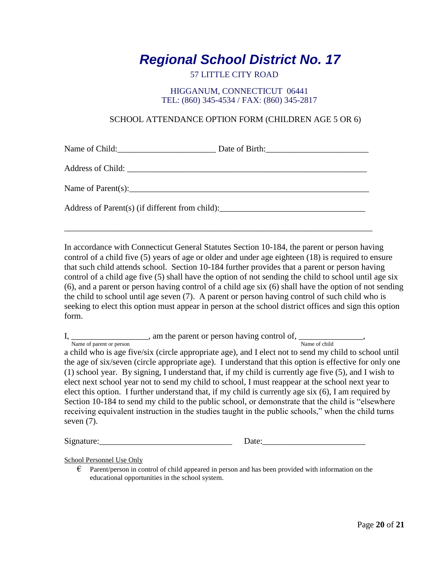## *Regional School District No. 17*

## 57 LITTLE CITY ROAD

#### HIGGANUM, CONNECTICUT 06441 TEL: (860) 345-4534 / FAX: (860) 345-2817

## SCHOOL ATTENDANCE OPTION FORM (CHILDREN AGE 5 OR 6)

Name of Child:\_\_\_\_\_\_\_\_\_\_\_\_\_\_\_\_\_\_\_\_\_\_\_ Date of Birth:\_\_\_\_\_\_\_\_\_\_\_\_\_\_\_\_\_\_\_\_\_\_\_\_

Address of Child: \_\_\_\_\_\_\_\_\_\_\_\_\_\_\_\_\_\_\_\_\_\_\_\_\_\_\_\_\_\_\_\_\_\_\_\_\_\_\_\_\_\_\_\_\_\_\_\_\_\_\_\_\_\_\_\_

Name of Parent(s):

Address of Parent(s) (if different from child):\_\_\_\_\_\_\_\_\_\_\_\_\_\_\_\_\_\_\_\_\_\_\_\_\_\_\_\_\_\_\_\_\_

In accordance with Connecticut General Statutes Section 10-184, the parent or person having control of a child five (5) years of age or older and under age eighteen (18) is required to ensure that such child attends school. Section 10-184 further provides that a parent or person having control of a child age five (5) shall have the option of not sending the child to school until age six (6), and a parent or person having control of a child age six (6) shall have the option of not sending the child to school until age seven (7). A parent or person having control of such child who is seeking to elect this option must appear in person at the school district offices and sign this option form.

\_\_\_\_\_\_\_\_\_\_\_\_\_\_\_\_\_\_\_\_\_\_\_\_\_\_\_\_\_\_\_\_\_\_\_\_\_\_\_\_\_\_\_\_\_\_\_\_\_\_\_\_\_\_\_\_\_\_\_\_\_\_\_\_\_\_\_\_\_\_\_\_

I, \_\_\_\_\_\_\_\_\_\_\_\_\_\_\_\_\_\_\_\_, am the parent or person having control of, \_\_\_\_\_\_\_\_\_\_\_\_\_, Name of parent or person and the contract of child a child who is age five/six (circle appropriate age), and I elect not to send my child to school until the age of six/seven (circle appropriate age). I understand that this option is effective for only one (1) school year. By signing, I understand that, if my child is currently age five (5), and I wish to elect next school year not to send my child to school, I must reappear at the school next year to elect this option. I further understand that, if my child is currently age six (6), I am required by Section 10-184 to send my child to the public school, or demonstrate that the child is "elsewhere receiving equivalent instruction in the studies taught in the public schools," when the child turns seven (7).

Signature: Signature: Signature: Signature: Signature: Signature: Signature: Signature: Signature: Signature: Signature: Signature: Signature: Signature: Signature: Signature: Signature: Signature: Signature: Signature: Si

School Personnel Use Only

 $\epsilon$  Parent/person in control of child appeared in person and has been provided with information on the educational opportunities in the school system.